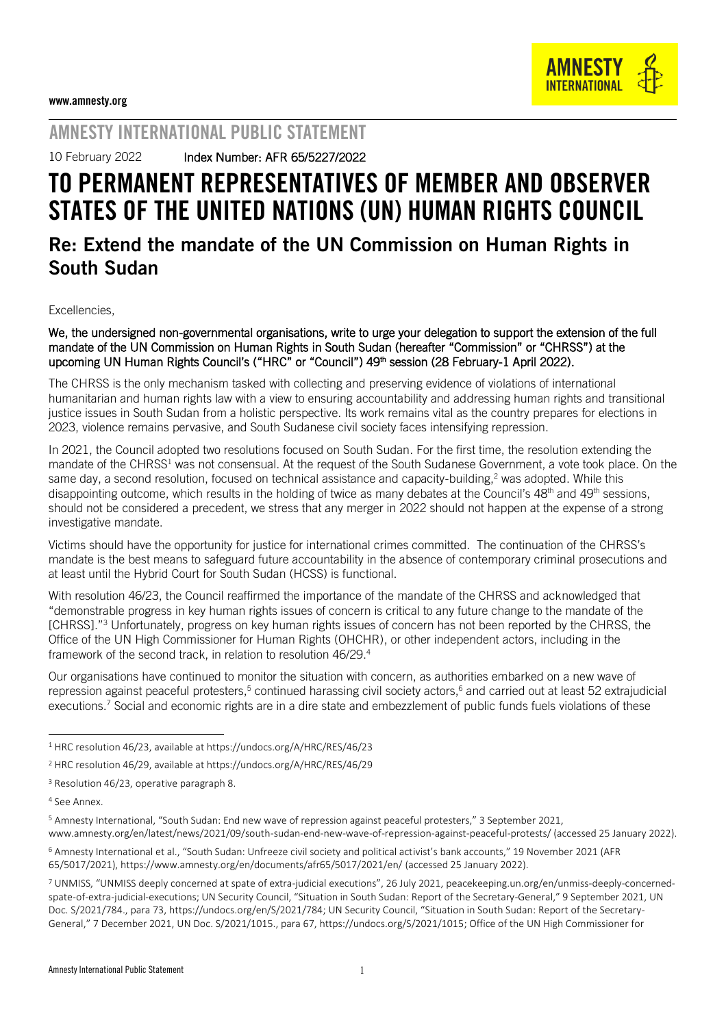

### AMNESTY INTERNATIONAL PUBLIC STATEMENT

10 February 2022 Index Number: AFR 65/5227/2022

# TO PERMANENT REPRESENTATIVES OF MEMBER AND OBSERVER STATES OF THE UNITED NATIONS (UN) HUMAN RIGHTS COUNCIL

## Re: Extend the mandate of the UN Commission on Human Rights in South Sudan

Excellencies,

#### We, the undersigned non-governmental organisations, write to urge your delegation to support the extension of the full mandate of the UN Commission on Human Rights in South Sudan (hereafter "Commission" or "CHRSS") at the upcoming UN Human Rights Council's ("HRC" or "Council") 49<sup>th</sup> session (28 February-1 April 2022).

The CHRSS is the only mechanism tasked with collecting and preserving evidence of violations of international humanitarian and human rights law with a view to ensuring accountability and addressing human rights and transitional justice issues in South Sudan from a holistic perspective. Its work remains vital as the country prepares for elections in 2023, violence remains pervasive, and South Sudanese civil society faces intensifying repression.

In 2021, the Council adopted two resolutions focused on South Sudan. For the first time, the resolution extending the mandate of the CHRSS<sup>1</sup> was not consensual. At the request of the South Sudanese Government, a vote took place. On the same day, a second resolution, focused on technical assistance and capacity-building.<sup>2</sup> was adopted. While this disappointing outcome, which results in the holding of twice as many debates at the Council's  $48<sup>th</sup>$  and  $49<sup>th</sup>$  sessions, should not be considered a precedent, we stress that any merger in 2022 should not happen at the expense of a strong investigative mandate.

Victims should have the opportunity for justice for international crimes committed. The continuation of the CHRSS's mandate is the best means to safeguard future accountability in the absence of contemporary criminal prosecutions and at least until the Hybrid Court for South Sudan (HCSS) is functional.

With resolution 46/23, the Council reaffirmed the importance of the mandate of the CHRSS and acknowledged that "demonstrable progress in key human rights issues of concern is critical to any future change to the mandate of the [CHRSS]."<sup>3</sup> Unfortunately, progress on key human rights issues of concern has not been reported by the CHRSS, the Office of the UN High Commissioner for Human Rights (OHCHR), or other independent actors, including in the framework of the second track, in relation to resolution 46/29.<sup>4</sup>

Our organisations have continued to monitor the situation with concern, as authorities embarked on a new wave of repression against peaceful protesters,<sup>5</sup> continued harassing civil society actors,<sup>6</sup> and carried out at least 52 extrajudicial executions.<sup>7</sup> Social and economic rights are in a dire state and embezzlement of public funds fuels violations of these

-

<sup>1</sup> HRC resolution 46/23, available a[t https://undocs.org/A/HRC/RES/46/23](https://undocs.org/A/HRC/RES/46/23)

<sup>2</sup> HRC resolution 46/29, available a[t https://undocs.org/A/HRC/RES/46/29](https://undocs.org/A/HRC/RES/46/29)

<sup>&</sup>lt;sup>3</sup> Resolution 46/23, operative paragraph 8.

<sup>4</sup> See Annex.

<sup>5</sup> Amnesty International, "South Sudan: End new wave of repression against peaceful protesters," 3 September 2021, [www.amnesty.org/en/latest/news/2021/09/south-sudan-end-new-wave-of-repression-against-peaceful-protests/](http://www.amnesty.org/en/latest/news/2021/09/south-sudan-end-new-wave-of-repression-against-peaceful-protests/) (accessed 25 January 2022).

<sup>6</sup> Amnesty International et al., "South Sudan: Unfreeze civil society and political activist's bank accounts," 19 November 2021 (AFR 65/5017/2021),<https://www.amnesty.org/en/documents/afr65/5017/2021/en/> (accessed 25 January 2022).

<sup>7</sup> UNMISS, "UNMISS deeply concerned at spate of extra-judicial executions", 26 July 2021, [peacekeeping.un.org/en/unmiss-deeply-concerned](https://peacekeeping.un.org/en/unmiss-deeply-concerned-spate-of-extra-judicial-executions)[spate-of-extra-judicial-executions;](https://peacekeeping.un.org/en/unmiss-deeply-concerned-spate-of-extra-judicial-executions) UN Security Council, "Situation in South Sudan: Report of the Secretary-General," 9 September 2021, UN Doc. S/2021/784., para 73[, https://undocs.org/en/S/2021/784;](https://undocs.org/en/S/2021/784) UN Security Council, "Situation in South Sudan: Report of the Secretary-General," 7 December 2021, UN Doc. S/2021/1015., para 67[, https://undocs.org/S/2021/1015;](https://undocs.org/S/2021/1015) Office of the UN High Commissioner for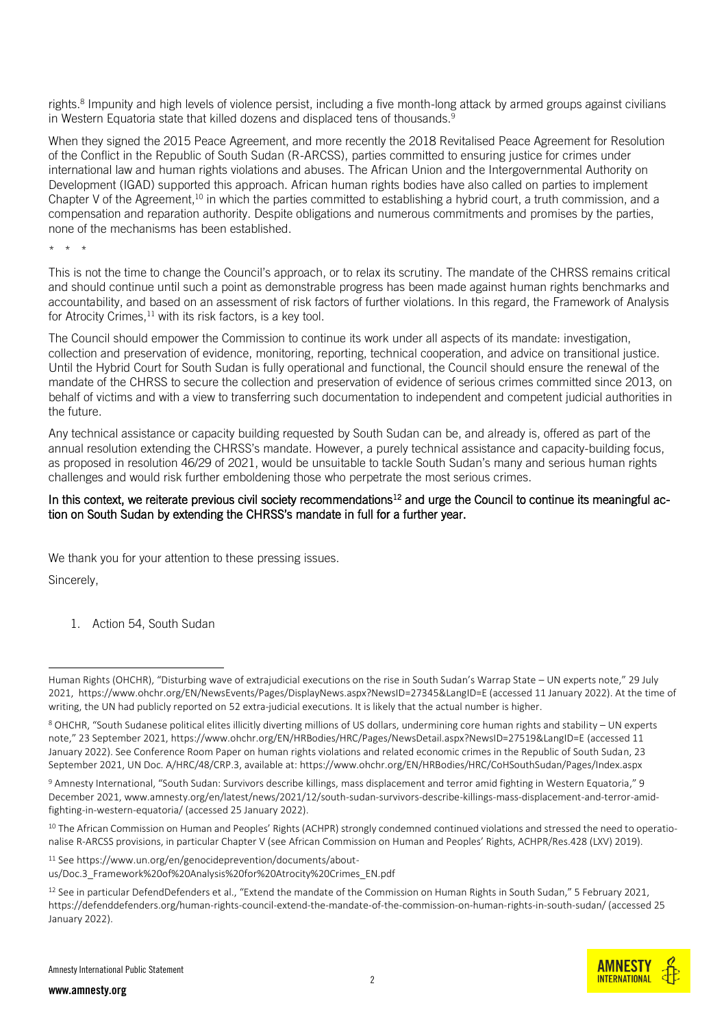rights.<sup>8</sup> Impunity and high levels of violence persist, including a five month-long attack by armed groups against civilians in Western Equatoria state that killed dozens and displaced tens of thousands.<sup>9</sup>

When they signed the 2015 Peace Agreement, and more recently the 2018 Revitalised Peace Agreement for Resolution of the Conflict in the Republic of South Sudan (R-ARCSS), parties committed to ensuring justice for crimes under international law and human rights violations and abuses. The African Union and the Intergovernmental Authority on Development (IGAD) supported this approach. African human rights bodies have also called on parties to implement Chapter V of the Agreement,<sup>10</sup> in which the parties committed to establishing a hybrid court, a truth commission, and a compensation and reparation authority. Despite obligations and numerous commitments and promises by the parties, none of the mechanisms has been established.

\* \* \*

-

This is not the time to change the Council's approach, or to relax its scrutiny. The mandate of the CHRSS remains critical and should continue until such a point as demonstrable progress has been made against human rights benchmarks and accountability, and based on an assessment of risk factors of further violations. In this regard, the Framework of Analysis for Atrocity Crimes, $11$  with its risk factors, is a key tool.

The Council should empower the Commission to continue its work under all aspects of its mandate: investigation, collection and preservation of evidence, monitoring, reporting, technical cooperation, and advice on transitional justice. Until the Hybrid Court for South Sudan is fully operational and functional, the Council should ensure the renewal of the mandate of the CHRSS to secure the collection and preservation of evidence of serious crimes committed since 2013, on behalf of victims and with a view to transferring such documentation to independent and competent judicial authorities in the future.

Any technical assistance or capacity building requested by South Sudan can be, and already is, offered as part of the annual resolution extending the CHRSS's mandate. However, a purely technical assistance and capacity-building focus, as proposed in resolution 46/29 of 2021, would be unsuitable to tackle South Sudan's many and serious human rights challenges and would risk further emboldening those who perpetrate the most serious crimes.

#### In this context, we reiterate previous civil society recommendations<sup>12</sup> and urge the Council to continue its meaningful action on South Sudan by extending the CHRSS's mandate in full for a further year.

We thank you for your attention to these pressing issues. Sincerely,

1. Action 54, South Sudan

<sup>10</sup> The African Commission on Human and Peoples' Rights (ACHPR) strongly condemned continued violations and stressed the need to operationalise R-ARCSS provisions, in particular Chapter V (see African Commission on Human and Peoples' Rights, ACHPR/Res.428 (LXV) 2019).

<sup>11</sup> See [https://www.un.org/en/genocideprevention/documents/about](https://www.un.org/en/genocideprevention/documents/about-us/Doc.3_Framework%20of%20Analysis%20for%20Atrocity%20Crimes_EN.pdf)[us/Doc.3\\_Framework%20of%20Analysis%20for%20Atrocity%20Crimes\\_EN.pdf](https://www.un.org/en/genocideprevention/documents/about-us/Doc.3_Framework%20of%20Analysis%20for%20Atrocity%20Crimes_EN.pdf)

Human Rights (OHCHR), "Disturbing wave of extrajudicial executions on the rise in South Sudan's Warrap State – UN experts note," 29 July 2021,<https://www.ohchr.org/EN/NewsEvents/Pages/DisplayNews.aspx?NewsID=27345&LangID=E> (accessed 11 January 2022). At the time of writing, the UN had publicly reported on 52 extra-judicial executions. It is likely that the actual number is higher.

<sup>8</sup> OHCHR, "South Sudanese political elites illicitly diverting millions of US dollars, undermining core human rights and stability – UN experts note," 23 September 2021, <https://www.ohchr.org/EN/HRBodies/HRC/Pages/NewsDetail.aspx?NewsID=27519&LangID=E> (accessed 11 January 2022). See Conference Room Paper on human rights violations and related economic crimes in the Republic of South Sudan, 23 September 2021, UN Doc. A/HRC/48/CRP.3, available at[: https://www.ohchr.org/EN/HRBodies/HRC/CoHSouthSudan/Pages/Index.aspx](https://www.ohchr.org/EN/HRBodies/HRC/CoHSouthSudan/Pages/Index.aspx)

<sup>9</sup> Amnesty International, "South Sudan: Survivors describe killings, mass displacement and terror amid fighting in Western Equatoria," 9 December 2021, [www.amnesty.org/en/latest/news/2021/12/south-sudan-survivors-describe-killings-mass-displacement-and-terror-amid](http://www.amnesty.org/en/latest/news/2021/12/south-sudan-survivors-describe-killings-mass-displacement-and-terror-amid-fighting-in-western-equatoria/)[fighting-in-western-equatoria/](http://www.amnesty.org/en/latest/news/2021/12/south-sudan-survivors-describe-killings-mass-displacement-and-terror-amid-fighting-in-western-equatoria/) (accessed 25 January 2022).

 $12$  See in particular DefendDefenders et al., "Extend the mandate of the Commission on Human Rights in South Sudan," 5 February 2021, <https://defenddefenders.org/human-rights-council-extend-the-mandate-of-the-commission-on-human-rights-in-south-sudan/> (accessed 25 January 2022).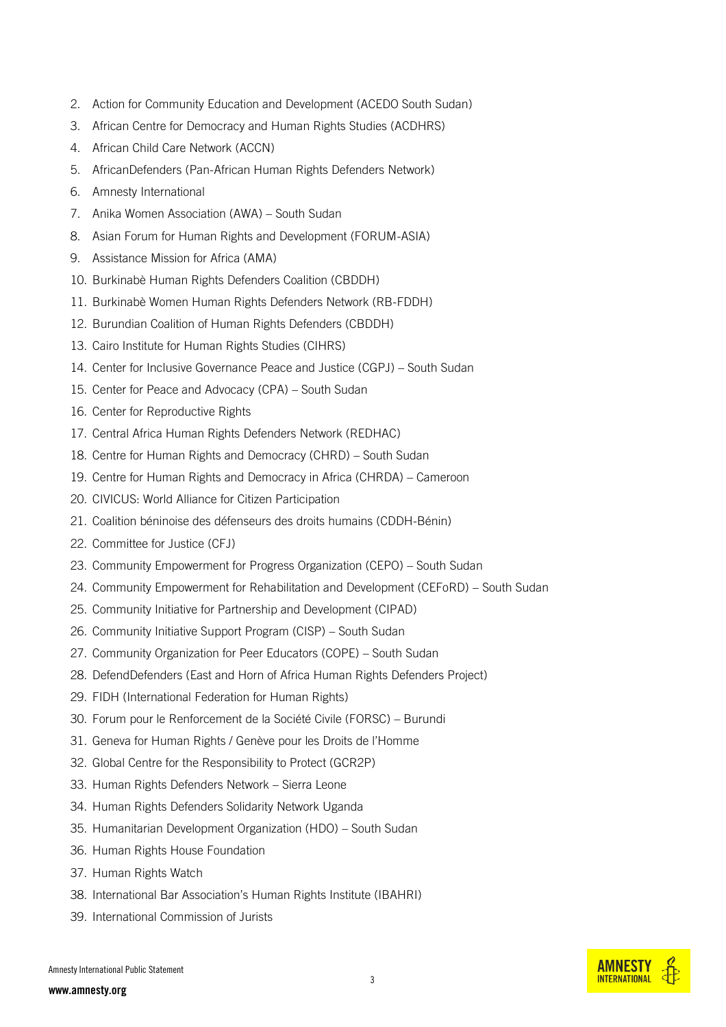- 2. Action for Community Education and Development (ACEDO South Sudan)
- 3. African Centre for Democracy and Human Rights Studies (ACDHRS)
- 4. African Child Care Network (ACCN)
- 5. AfricanDefenders (Pan-African Human Rights Defenders Network)
- 6. Amnesty International
- 7. Anika Women Association (AWA) South Sudan
- 8. Asian Forum for Human Rights and Development (FORUM-ASIA)
- 9. Assistance Mission for Africa (AMA)
- 10. Burkinabè Human Rights Defenders Coalition (CBDDH)
- 11. Burkinabè Women Human Rights Defenders Network (RB-FDDH)
- 12. Burundian Coalition of Human Rights Defenders (CBDDH)
- 13. Cairo Institute for Human Rights Studies (CIHRS)
- 14. Center for Inclusive Governance Peace and Justice (CGPJ) South Sudan
- 15. Center for Peace and Advocacy (CPA) South Sudan
- 16. Center for Reproductive Rights
- 17. Central Africa Human Rights Defenders Network (REDHAC)
- 18. Centre for Human Rights and Democracy (CHRD) South Sudan
- 19. Centre for Human Rights and Democracy in Africa (CHRDA) Cameroon
- 20. CIVICUS: World Alliance for Citizen Participation
- 21. Coalition béninoise des défenseurs des droits humains (CDDH-Bénin)
- 22. Committee for Justice (CFJ)
- 23. Community Empowerment for Progress Organization (CEPO) South Sudan
- 24. Community Empowerment for Rehabilitation and Development (CEFoRD) South Sudan
- 25. Community Initiative for Partnership and Development (CIPAD)
- 26. Community Initiative Support Program (CISP) South Sudan
- 27. Community Organization for Peer Educators (COPE) South Sudan
- 28. DefendDefenders (East and Horn of Africa Human Rights Defenders Project)
- 29. FIDH (International Federation for Human Rights)
- 30. Forum pour le Renforcement de la Société Civile (FORSC) Burundi
- 31. Geneva for Human Rights / Genève pour les Droits de l'Homme
- 32. Global Centre for the Responsibility to Protect (GCR2P)
- 33. Human Rights Defenders Network Sierra Leone
- 34. Human Rights Defenders Solidarity Network Uganda
- 35. Humanitarian Development Organization (HDO) South Sudan
- 36. Human Rights House Foundation
- 37. Human Rights Watch
- 38. International Bar Association's Human Rights Institute (IBAHRI)
- 39. International Commission of Jurists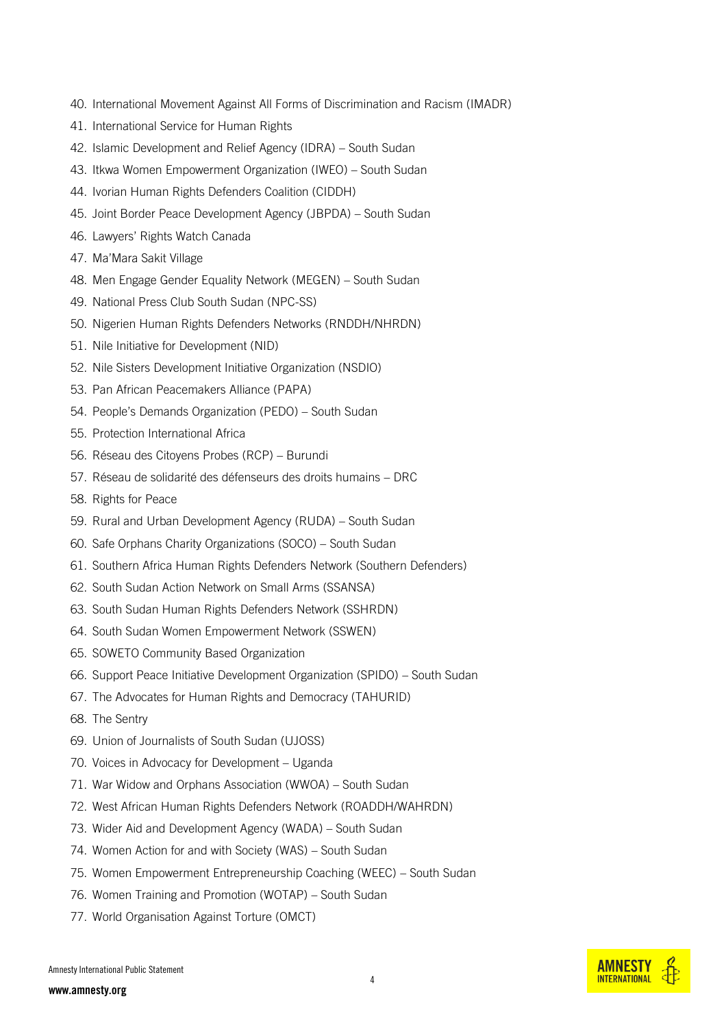- 40. International Movement Against All Forms of Discrimination and Racism (IMADR)
- 41. International Service for Human Rights
- 42. Islamic Development and Relief Agency (IDRA) South Sudan
- 43. Itkwa Women Empowerment Organization (IWEO) South Sudan
- 44. Ivorian Human Rights Defenders Coalition (CIDDH)
- 45. Joint Border Peace Development Agency (JBPDA) South Sudan
- 46. Lawyers' Rights Watch Canada
- 47. Ma'Mara Sakit Village
- 48. Men Engage Gender Equality Network (MEGEN) South Sudan
- 49. National Press Club South Sudan (NPC-SS)
- 50. Nigerien Human Rights Defenders Networks (RNDDH/NHRDN)
- 51. Nile Initiative for Development (NID)
- 52. Nile Sisters Development Initiative Organization (NSDIO)
- 53. Pan African Peacemakers Alliance (PAPA)
- 54. People's Demands Organization (PEDO) South Sudan
- 55. Protection International Africa
- 56. Réseau des Citoyens Probes (RCP) Burundi
- 57. Réseau de solidarité des défenseurs des droits humains DRC
- 58. Rights for Peace
- 59. Rural and Urban Development Agency (RUDA) South Sudan
- 60. Safe Orphans Charity Organizations (SOCO) South Sudan
- 61. Southern Africa Human Rights Defenders Network (Southern Defenders)
- 62. South Sudan Action Network on Small Arms (SSANSA)
- 63. South Sudan Human Rights Defenders Network (SSHRDN)
- 64. South Sudan Women Empowerment Network (SSWEN)
- 65. SOWETO Community Based Organization
- 66. Support Peace Initiative Development Organization (SPIDO) South Sudan
- 67. The Advocates for Human Rights and Democracy (TAHURID)
- 68. The Sentry
- 69. Union of Journalists of South Sudan (UJOSS)
- 70. Voices in Advocacy for Development Uganda
- 71. War Widow and Orphans Association (WWOA) South Sudan
- 72. West African Human Rights Defenders Network (ROADDH/WAHRDN)
- 73. Wider Aid and Development Agency (WADA) South Sudan
- 74. Women Action for and with Society (WAS) South Sudan
- 75. Women Empowerment Entrepreneurship Coaching (WEEC) South Sudan
- 76. Women Training and Promotion (WOTAP) South Sudan
- 77. World Organisation Against Torture (OMCT)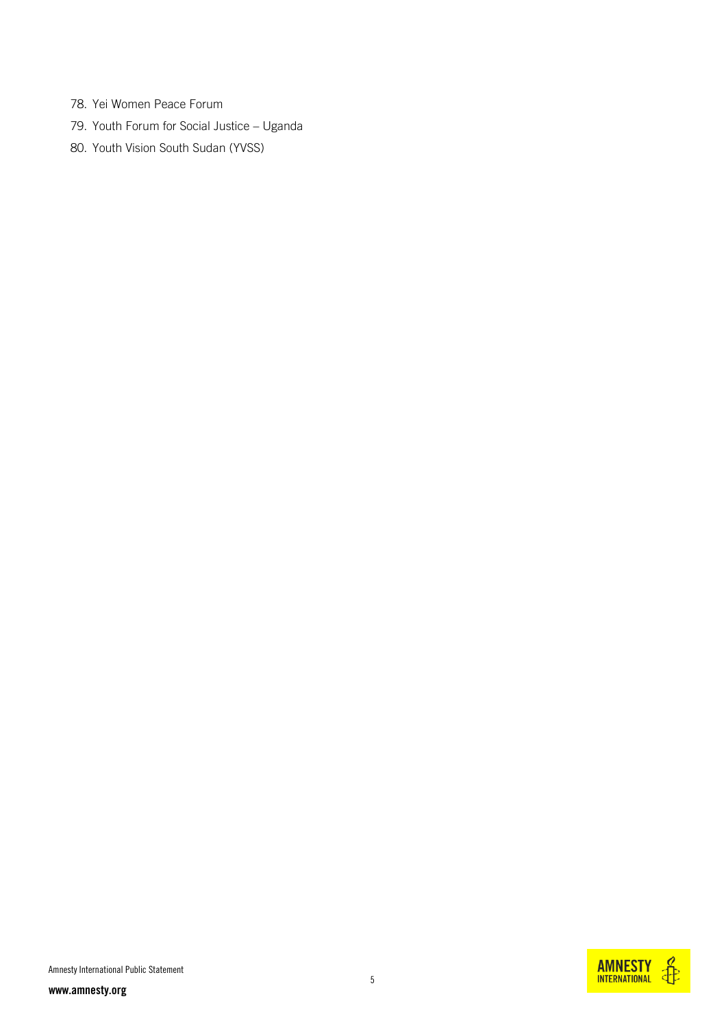- 78. Yei Women Peace Forum
- 79. Youth Forum for Social Justice Uganda
- 80. Youth Vision South Sudan (YVSS)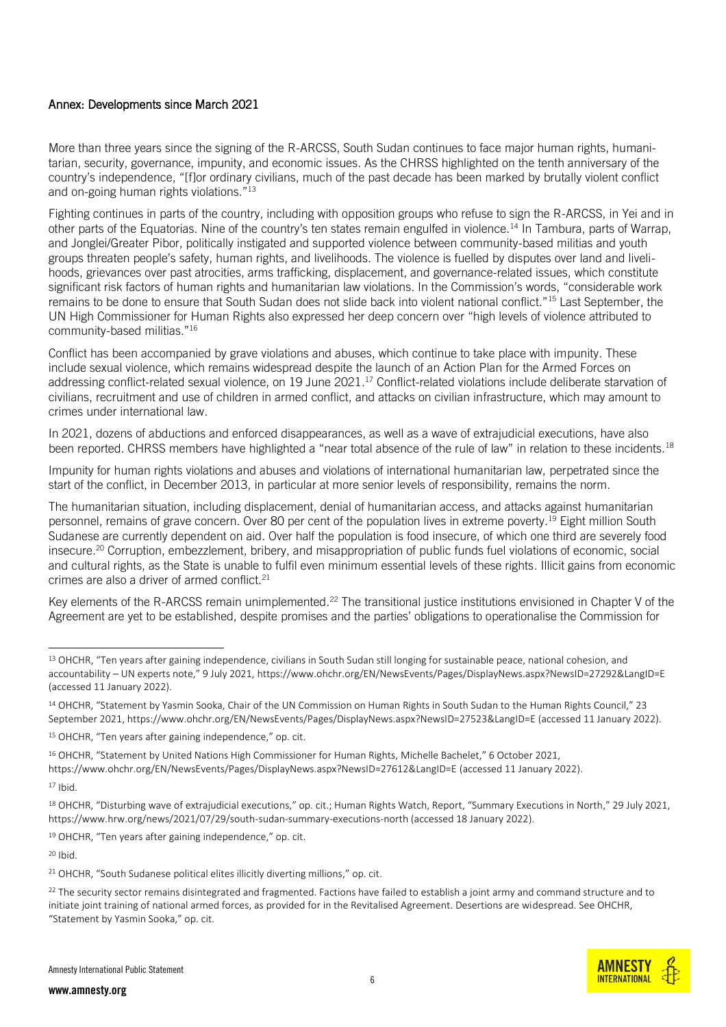#### Annex: Developments since March 2021

More than three years since the signing of the R-ARCSS, South Sudan continues to face major human rights, humanitarian, security, governance, impunity, and economic issues. As the CHRSS highlighted on the tenth anniversary of the country's independence, "[f]or ordinary civilians, much of the past decade has been marked by brutally violent conflict and on-going human rights violations."<sup>13</sup>

Fighting continues in parts of the country, including with opposition groups who refuse to sign the R-ARCSS, in Yei and in other parts of the Equatorias. Nine of the country's ten states remain engulfed in violence.<sup>14</sup> In Tambura, parts of Warrap, and Jonglei/Greater Pibor, politically instigated and supported violence between community-based militias and youth groups threaten people's safety, human rights, and livelihoods. The violence is fuelled by disputes over land and livelihoods, grievances over past atrocities, arms trafficking, displacement, and governance-related issues, which constitute significant risk factors of human rights and humanitarian law violations. In the Commission's words, "considerable work remains to be done to ensure that South Sudan does not slide back into violent national conflict."<sup>15</sup> Last September, the UN High Commissioner for Human Rights also expressed her deep concern over "high levels of violence attributed to community-based militias."<sup>16</sup>

Conflict has been accompanied by grave violations and abuses, which continue to take place with impunity. These include sexual violence, which remains widespread despite the launch of an Action Plan for the Armed Forces on addressing conflict-related sexual violence, on 19 June 2021.<sup>17</sup> Conflict-related violations include deliberate starvation of civilians, recruitment and use of children in armed conflict, and attacks on civilian infrastructure, which may amount to crimes under international law.

In 2021, dozens of abductions and enforced disappearances, as well as a wave of extrajudicial executions, have also been reported. CHRSS members have highlighted a "near total absence of the rule of law" in relation to these incidents.<sup>18</sup>

Impunity for human rights violations and abuses and violations of international humanitarian law, perpetrated since the start of the conflict, in December 2013, in particular at more senior levels of responsibility, remains the norm.

The humanitarian situation, including displacement, denial of humanitarian access, and attacks against humanitarian personnel, remains of grave concern. Over 80 per cent of the population lives in extreme poverty.<sup>19</sup> Eight million South Sudanese are currently dependent on aid. Over half the population is food insecure, of which one third are severely food insecure.<sup>20</sup> Corruption, embezzlement, bribery, and misappropriation of public funds fuel violations of economic, social and cultural rights, as the State is unable to fulfil even minimum essential levels of these rights. Illicit gains from economic crimes are also a driver of armed conflict.<sup>21</sup>

Key elements of the R-ARCSS remain unimplemented.<sup>22</sup> The transitional justice institutions envisioned in Chapter V of the Agreement are yet to be established, despite promises and the parties' obligations to operationalise the Commission for

<sup>16</sup> OHCHR, "Statement by United Nations High Commissioner for Human Rights, Michelle Bachelet," 6 October 2021,

-

<sup>19</sup> OHCHR, "Ten years after gaining independence," op. cit.

<sup>20</sup> Ibid.



<sup>&</sup>lt;sup>13</sup> OHCHR, "Ten years after gaining independence, civilians in South Sudan still longing for sustainable peace, national cohesion, and accountability – UN experts note," 9 July 2021, <https://www.ohchr.org/EN/NewsEvents/Pages/DisplayNews.aspx?NewsID=27292&LangID=E> (accessed 11 January 2022).

<sup>&</sup>lt;sup>14</sup> OHCHR, "Statement by Yasmin Sooka, Chair of the UN Commission on Human Rights in South Sudan to the Human Rights Council," 23 September 2021[, https://www.ohchr.org/EN/NewsEvents/Pages/DisplayNews.aspx?NewsID=27523&LangID=E](https://www.ohchr.org/EN/NewsEvents/Pages/DisplayNews.aspx?NewsID=27523&LangID=E) (accessed 11 January 2022).

<sup>&</sup>lt;sup>15</sup> OHCHR, "Ten years after gaining independence," op. cit.

<https://www.ohchr.org/EN/NewsEvents/Pages/DisplayNews.aspx?NewsID=27612&LangID=E> (accessed 11 January 2022).

 $17$  Ibid.

<sup>&</sup>lt;sup>18</sup> OHCHR, "Disturbing wave of extrajudicial executions," op. cit.; Human Rights Watch, Report, "Summary Executions in North," 29 July 2021, <https://www.hrw.org/news/2021/07/29/south-sudan-summary-executions-north> (accessed 18 January 2022).

<sup>&</sup>lt;sup>21</sup> OHCHR, "South Sudanese political elites illicitly diverting millions," op. cit.

<sup>&</sup>lt;sup>22</sup> The security sector remains disintegrated and fragmented. Factions have failed to establish a joint army and command structure and to initiate joint training of national armed forces, as provided for in the Revitalised Agreement. Desertions are widespread. See OHCHR, "Statement by Yasmin Sooka," op. cit.